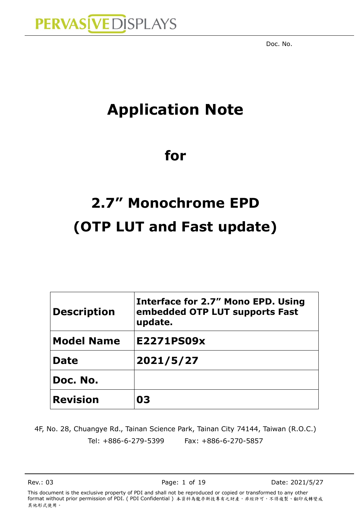

## **Application Note**

## **for**

# **2.7" Monochrome EPD (OTP LUT and Fast update)**

| <b>Description</b> | Interface for 2.7" Mono EPD. Using<br>embedded OTP LUT supports Fast<br>update. |
|--------------------|---------------------------------------------------------------------------------|
| <b>Model Name</b>  | E2271PS09x                                                                      |
| <b>Date</b>        | 2021/5/27                                                                       |
| Doc. No.           |                                                                                 |
| <b>Revision</b>    | 03                                                                              |

4F, No. 28, Chuangye Rd., Tainan Science Park, Tainan City 74144, Taiwan (R.O.C.) Tel: +886-6-279-5399 Fax: +886-6-270-5857

Rev.: 03 **Page: 1 of 19** Date: 2021/5/27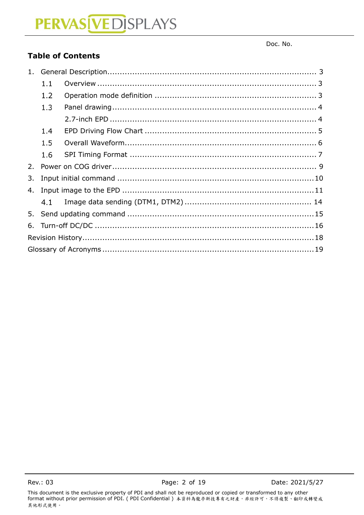Doc. No.

### **Table of Contents**

|    | 1.1 |  |
|----|-----|--|
|    | 1.2 |  |
|    | 1.3 |  |
|    |     |  |
|    | 1.4 |  |
|    | 1.5 |  |
|    | 1.6 |  |
| 2. |     |  |
| 3. |     |  |
| 4. |     |  |
|    |     |  |
|    |     |  |
| 6. |     |  |
|    |     |  |
|    |     |  |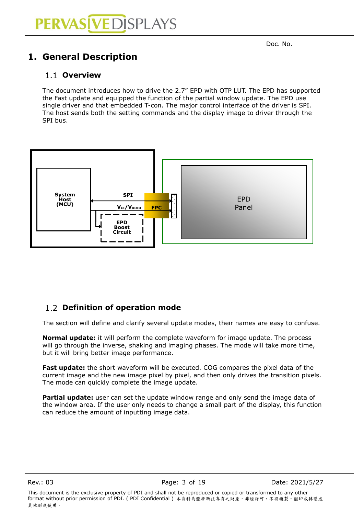## <span id="page-2-0"></span>**1. General Description**

### <span id="page-2-1"></span>**Overview**

The document introduces how to drive the 2.7" EPD with OTP LUT. The EPD has supported the Fast update and equipped the function of the partial window update. The EPD use single driver and that embedded T-con. The major control interface of the driver is SPI. The host sends both the setting commands and the display image to driver through the SPI bus.



### <span id="page-2-2"></span>**Definition of operation mode**

The section will define and clarify several update modes, their names are easy to confuse.

**Normal update:** it will perform the complete waveform for image update. The process will go through the inverse, shaking and imaging phases. The mode will take more time, but it will bring better image performance.

**Fast update:** the short waveform will be executed. COG compares the pixel data of the current image and the new image pixel by pixel, and then only drives the transition pixels. The mode can quickly complete the image update.

**Partial update:** user can set the update window range and only send the image data of the window area. If the user only needs to change a small part of the display, this function can reduce the amount of inputting image data.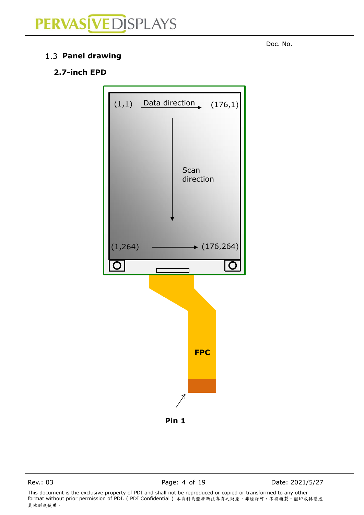<span id="page-3-1"></span>1.3 Panel drawing

### **2.7-inch EPD**



Rev.: 03 **Page: 4 of 19** Date: 2021/5/27

This document is the exclusive property of PDI and shall not be reproduced or copied or transformed to any other format without prior permission of PDI. ( PDI Confidential ) 本資料為龍亭新技專有之財產,非經許可,不得複製、翻印或轉變成 其他形式使用。

<span id="page-3-0"></span>denotes the contract of the contract of the contract of the contract of the contract of the contract of the contract of the contract of the contract of the contract of the contract of the contract of the contract of the co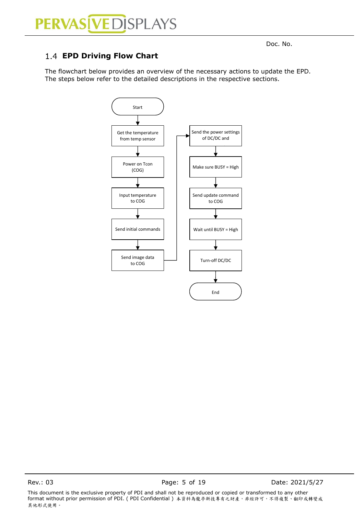## PERVAS VEDISPLAYS

### <span id="page-4-0"></span>**EPD Driving Flow Chart**

The flowchart below provides an overview of the necessary actions to update the EPD. The steps below refer to the detailed descriptions in the respective sections.



Rev.: 03 **Page: 5 of 19** Date: 2021/5/27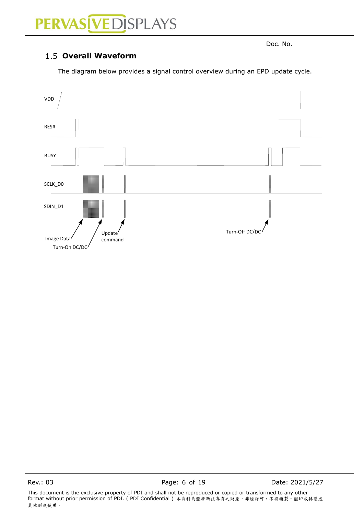# PERVAS [VED] SPLAYS

<span id="page-5-0"></span>denotes the contract of the contract of the contract of the contract of the contract of the contract of the contract of the contract of the contract of the contract of the contract of the contract of the contract of the co

### 1.5 Overall Waveform

The diagram below provides a signal control overview during an EPD update cycle.



Rev.: 03 **Page: 6 of 19** Page: 6 of 19 Date: 2021/5/27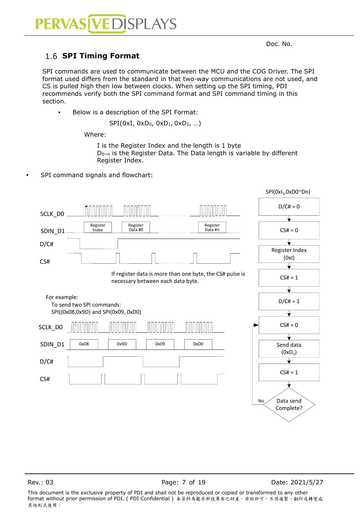### <span id="page-6-0"></span>1.6 **SPI Timing Format**

SPI commands are used to communicate between the MCU and the COG Driver. The SPI format used differs from the standard in that two-way communications are not used, and CS is pulled high then low between clocks. When setting up the SPI timing, PDI recommends verify both the SPI command format and SPI command timing in this section.

• Below is a description of the SPI Format:

SPI(0xI, 0xD<sub>0</sub>, 0xD<sub>1</sub>, 0xD<sub>2</sub>, ...)

Where:

I is the Register Index and the length is 1 byte D<sub>0~n</sub> is the Register Data. The Data length is variable by different Register Index.

SPI command signals and flowchart:

|              |                                     |                                                                                               |                     |    | SPI(0xl <sub>1</sub> ,0xD0~Dn) |
|--------------|-------------------------------------|-----------------------------------------------------------------------------------------------|---------------------|----|--------------------------------|
| SCLK_DO      |                                     |                                                                                               |                     |    | $D/C# = 0$                     |
|              |                                     |                                                                                               |                     |    |                                |
| SDIN_D1      | Register<br>Index                   | Register<br>Data #0                                                                           | Register<br>Data #n |    | $CS# = 0$                      |
| D/C#         |                                     |                                                                                               |                     |    |                                |
| CS#          |                                     |                                                                                               |                     |    | Register Index<br>(0xI)        |
|              |                                     |                                                                                               |                     |    |                                |
|              |                                     | If register data is more than one byte, the CS# pulse is<br>necessary between each data byte. |                     |    | $CS# = 1$                      |
|              |                                     |                                                                                               |                     |    |                                |
| For example: | To send two SPI commands:           |                                                                                               |                     |    | $D/C# = 1$                     |
|              | SPI((0x08,0x9D) and SPI(0x09, 0xD0) |                                                                                               |                     |    |                                |
| SCLK_DO      |                                     |                                                                                               |                     |    | $CS# = 0$                      |
|              |                                     |                                                                                               |                     |    |                                |
| SDIN_D1      | 0x08<br>0x9D                        | 0x09                                                                                          | 0xD0                |    | Send data                      |
|              |                                     |                                                                                               |                     |    | $(0xD_n)$                      |
| D/CH         |                                     |                                                                                               |                     |    |                                |
|              |                                     |                                                                                               |                     |    | $CS# = 1$                      |
| CS#          |                                     |                                                                                               |                     |    |                                |
|              |                                     |                                                                                               |                     |    |                                |
|              |                                     |                                                                                               |                     | No | Data send                      |
|              |                                     |                                                                                               |                     |    | Complete?                      |
|              |                                     |                                                                                               |                     |    |                                |
|              |                                     |                                                                                               |                     |    |                                |
|              |                                     |                                                                                               |                     |    |                                |

Rev.: 03 **Page: 7 of 19** Date: 2021/5/27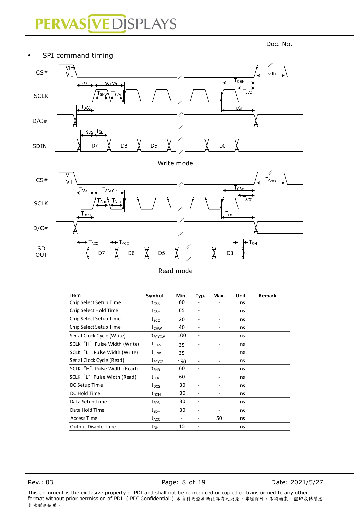# PERVAS [VED] SPLAYS



Read mode

| Item                         | Symbol                             | Min. | Typ. | Max. | Unit | Remark |
|------------------------------|------------------------------------|------|------|------|------|--------|
| Chip Select Setup Time       | $t_{\mathsf{CSS}}$                 | 60   |      |      | ns   |        |
| Chip Select Hold Time        | $t_{\sf CSH}$                      | 65   |      |      | ns   |        |
| Chip Select Setup Time       | tscc                               | 20   |      |      | ns   |        |
| Chip Select Setup Time       | $\rm t_{CHW}$                      | 40   |      |      | ns   |        |
| Serial Clock Cycle (Write)   | t <sub>scycw</sub>                 | 100  |      |      | ns   |        |
| SCLK "H" Pulse Width (Write) | $t_{\text{SHW}}$                   | 35   |      |      | ns   |        |
| SCLK "L" Pulse Width (Write) | $t_{\text{SLW}}$                   | 35   |      |      | ns   |        |
| Serial Clock Cycle (Read)    | t <sub>SCYCR</sub>                 | 150  |      |      | ns   |        |
| SCLK "H" Pulse Width (Read)  | $\bm{{\mathsf{t}}}_{\mathsf{SHR}}$ | 60   |      |      | ns   |        |
| SCLK "L" Pulse Width (Read)  | $\bm{{\mathsf{t}}}_{\textsf{SLR}}$ | 60   |      |      | ns   |        |
| DC Setup Time                | $t_{DCS}$                          | 30   |      |      | ns   |        |
| DC Hold Time                 | $t_{DCH}$                          | 30   |      |      | ns   |        |
| Data Setup Time              | t <sub>sps</sub>                   | 30   |      |      | ns   |        |
| Data Hold Time               | t <sub>sdH</sub>                   | 30   |      |      | ns   |        |
| <b>Access Time</b>           | $t_{\sf ACC}$                      |      |      | 50   | ns   |        |
| Output Disable Time          | $t_{OH}$                           | 15   |      |      | ns   |        |

Rev.: 03 Page: 8 of 19 Date: 2021/5/27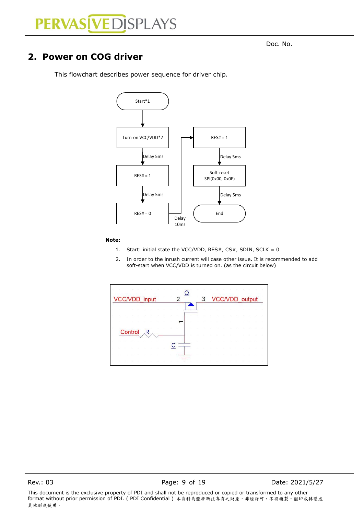denotes the contract of the contract of the contract of the contract of the contract of the contract of the contract of the contract of the contract of the contract of the contract of the contract of the contract of the co

### <span id="page-8-0"></span>**2. Power on COG driver**



This flowchart describes power sequence for driver chip.

#### **Note:**

- 1. Start: initial state the VCC/VDD, RES#,  $CS#$ , SDIN, SCLK = 0
- 2. In order to the inrush current will case other issue. It is recommended to add soft-start when VCC/VDD is turned on. (as the circuit below)

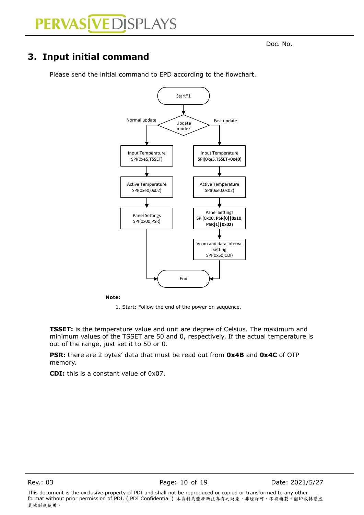### <span id="page-9-0"></span>**3. Input initial command**



Please send the initial command to EPD according to the flowchart.

**Note:**

1. Start: Follow the end of the power on sequence.

**TSSET:** is the temperature value and unit are degree of Celsius. The maximum and minimum values of the TSSET are 50 and 0, respectively. If the actual temperature is out of the range, just set it to 50 or 0.

**PSR:** there are 2 bytes' data that must be read out from **0x4B** and **0x4C** of OTP memory.

**CDI:** this is a constant value of 0x07.

Rev.: 03 **Page: 10 of 19** Date: 2021/5/27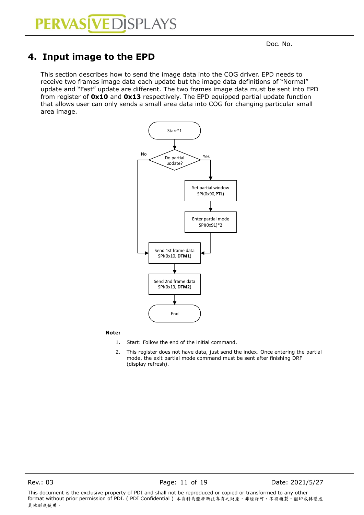### <span id="page-10-0"></span>**4. Input image to the EPD**

This section describes how to send the image data into the COG driver. EPD needs to receive two frames image data each update but the image data definitions of "Normal" update and "Fast" update are different. The two frames image data must be sent into EPD from register of **0x10** and **0x13** respectively. The EPD equipped partial update function that allows user can only sends a small area data into COG for changing particular small area image.



#### **Note:**

- 1. Start: Follow the end of the initial command.
- 2. This register does not have data, just send the index. Once entering the partial mode, the exit partial mode command must be sent after finishing DRF (display refresh).

Rev.: 03 **Page: 11 of 19** Date: 2021/5/27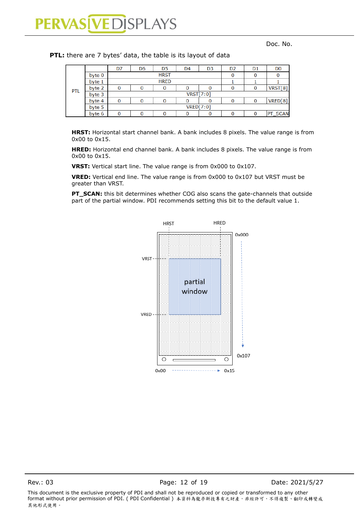|            |        | D7               | D6          | D5          | D <sub>4</sub> | D <sub>3</sub> | D <sub>2</sub> | D1 | D <sub>0</sub> |
|------------|--------|------------------|-------------|-------------|----------------|----------------|----------------|----|----------------|
|            | byte 0 |                  |             | <b>HRST</b> |                |                |                |    |                |
|            | byte 1 |                  | <b>HRED</b> |             |                |                |                |    |                |
| <b>PTL</b> | byte 2 |                  |             |             |                |                |                |    | VRST[8]        |
|            | byte 3 | <b>VRST[7:0]</b> |             |             |                |                |                |    |                |
|            | byte 4 |                  |             |             |                |                |                |    | VRED[8]        |
|            | byte 5 | VRED[7:0]        |             |             |                |                |                |    |                |
|            | byte 6 |                  |             |             |                |                |                |    | PT_SCAN        |
|            |        |                  |             |             |                |                |                |    |                |

**PTL:** there are 7 bytes' data, the table is its layout of data

**HRST:** Horizontal start channel bank. A bank includes 8 pixels. The value range is from 0x00 to 0x15.

**HRED:** Horizontal end channel bank. A bank includes 8 pixels. The value range is from 0x00 to 0x15.

**VRST:** Vertical start line. The value range is from 0x000 to 0x107.

**VRED:** Vertical end line. The value range is from 0x000 to 0x107 but VRST must be greater than VRST.

**PT\_SCAN:** this bit determines whether COG also scans the gate-channels that outside part of the partial window. PDI recommends setting this bit to the default value 1.



Rev.: 03 **Page: 12 of 19** Date: 2021/5/27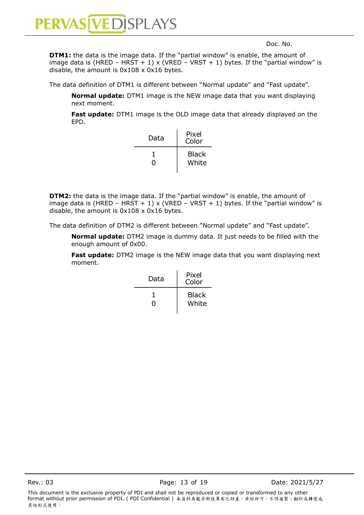

**DTM1:** the data is the image data. If the "partial window" is enable, the amount of image data is (HRED - HRST + 1) x (VRED - VRST + 1) bytes. If the "partial window" is disable, the amount is 0x108 x 0x16 bytes.

The data definition of DTM1 is different between "Normal update" and "Fast update".

**Normal update:** DTM1 image is the NEW image data that you want displaying next moment.

**Fast update:** DTM1 image is the OLD image data that already displayed on the EPD.

| Data | Pixel<br>Color |
|------|----------------|
| O    | Black<br>White |

**DTM2:** the data is the image data. If the "partial window" is enable, the amount of image data is (HRED – HRST + 1) x (VRED – VRST + 1) bytes. If the "partial window" is disable, the amount is 0x108 x 0x16 bytes.

The data definition of DTM2 is different between "Normal update" and "Fast update".

**Normal update:** DTM2 image is dummy data. It just needs to be filled with the enough amount of 0x00.

**Fast update:** DTM2 image is the NEW image data that you want displaying next moment.

| Data | Pixel<br>Color |
|------|----------------|
| 0    | Black<br>White |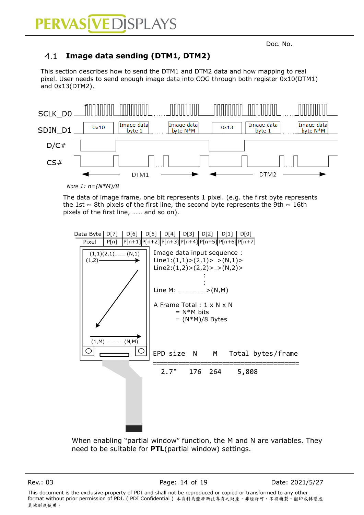#### <span id="page-13-0"></span> $4.1$ **Image data sending (DTM1, DTM2)**

This section describes how to send the DTM1 and DTM2 data and how mapping to real pixel. User needs to send enough image data into COG through both register 0x10(DTM1) and 0x13(DTM2).



*Note 1: n=(N\*M)/8*

The data of image frame, one bit represents 1 pixel. (e.g. the first byte represents the 1st  $\sim$  8th pixels of the first line, the second byte represents the 9th  $\sim$  16th pixels of the first line, …… and so on).



When enabling "partial window" function, the M and N are variables. They need to be suitable for **PTL**(partial window) settings.

Rev.: 03 **Page: 14 of 19** Date: 2021/5/27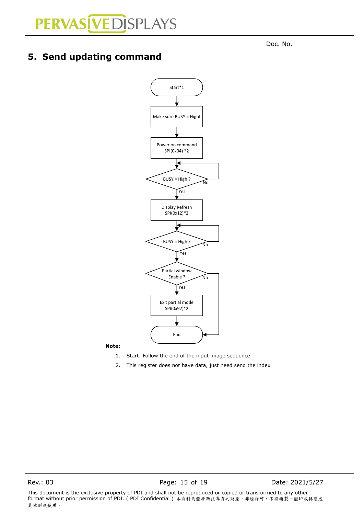## <span id="page-14-0"></span>**5. Send updating command**

denotes the contract of the contract of the contract of the contract of the contract of the contract of the contract of the contract of the contract of the contract of the contract of the contract of the contract of the co



**Note:**

- 1. Start: Follow the end of the input image sequence
- 2. This register does not have data, just need send the index

Rev.: 03 **Page: 15 of 19** Date: 2021/5/27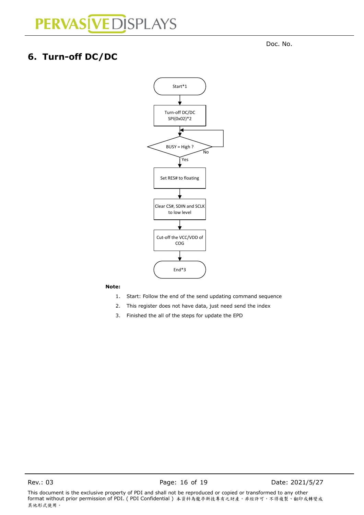denotes the contract of the contract of the contract of the contract of the contract of the contract of the contract of the contract of the contract of the contract of the contract of the contract of the contract of the co

## <span id="page-15-0"></span>**6. Turn-off DC/DC**



#### **Note:**

- 1. Start: Follow the end of the send updating command sequence
- 2. This register does not have data, just need send the index
- 3. Finished the all of the steps for update the EPD

Rev.: 03 **Page: 16 of 19** Date: 2021/5/27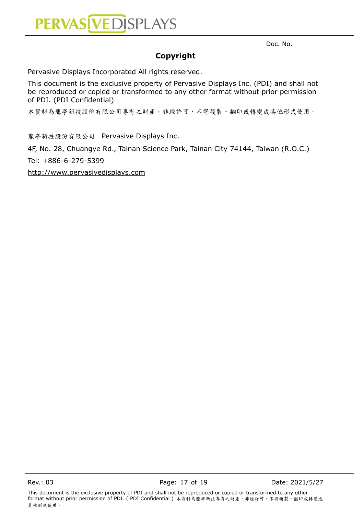

### **Copyright**

Pervasive Displays Incorporated All rights reserved.

This document is the exclusive property of Pervasive Displays Inc. (PDI) and shall not be reproduced or copied or transformed to any other format without prior permission of PDI. (PDI Confidential)

本資料為龍亭新技股份有限公司專有之財產,非經許可,不得複製、翻印或轉變成其他形式使用。

龍亭新技股份有限公司 Pervasive Displays Inc.

4F, No. 28, Chuangye Rd., Tainan Science Park, Tainan City 74144, Taiwan (R.O.C.)

Tel: +886-6-279-5399

[http://www.pervasivedisplays.com](http://www.pervasivedisplays.com/)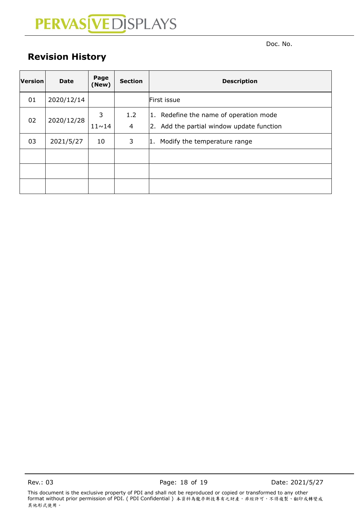denotes the contract of the contract of the contract of the contract of the contract of the contract of the contract of the contract of the contract of the contract of the contract of the contract of the contract of the co

## <span id="page-17-0"></span>**Revision History**

| Version | <b>Date</b> | Page<br>(New)     | <b>Section</b> | <b>Description</b>                                                                  |
|---------|-------------|-------------------|----------------|-------------------------------------------------------------------------------------|
| 01      | 2020/12/14  |                   |                | First issue                                                                         |
| 02      | 2020/12/28  | 3<br>$11 \sim 14$ | 1.2<br>4       | 1. Redefine the name of operation mode<br>2. Add the partial window update function |
| 03      | 2021/5/27   | 10                | 3              | Modify the temperature range<br>1.                                                  |
|         |             |                   |                |                                                                                     |
|         |             |                   |                |                                                                                     |
|         |             |                   |                |                                                                                     |

Rev.: 03 **Page: 18 of 19** Date: 2021/5/27